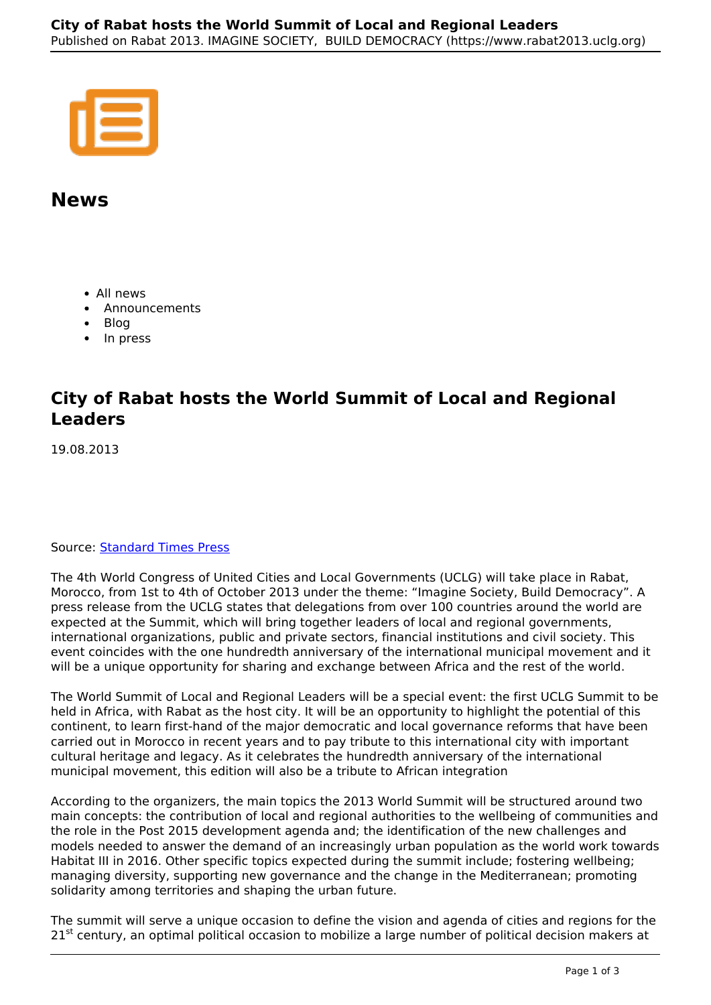## **News**

- All news
- Announcements
- Blog
- In press

## **City of Rabat hosts the World Summit of Local and Regional Leaders**

19.08.2013

## Source: **Standard Times Press**

The 4th World Congress of United Cities and Local Governments (UCLG) will take place in Rabat, Morocco, from 1st to 4th of October 2013 under the theme: "Imagine Society, Build Democracy". A press release from the UCLG states that delegations from over 100 countries around the world are expected at the Summit, which will bring together leaders of local and regional governments, international organizations, public and private sectors, financial institutions and civil society. This event coincides with the one hundredth anniversary of the international municipal movement and it will be a unique opportunity for sharing and exchange between Africa and the rest of the world.

The World Summit of Local and Regional Leaders will be a special event: the first UCLG Summit to be held in Africa, with Rabat as the host city. It will be an opportunity to highlight the potential of this continent, to learn first-hand of the major democratic and local governance reforms that have been carried out in Morocco in recent years and to pay tribute to this international city with important cultural heritage and legacy. As it celebrates the hundredth anniversary of the international municipal movement, this edition will also be a tribute to African integration

According to the organizers, the main topics the 2013 World Summit will be structured around two main concepts: the contribution of local and regional authorities to the wellbeing of communities and the role in the Post 2015 development agenda and; the identification of the new challenges and models needed to answer the demand of an increasingly urban population as the world work towards Habitat III in 2016. Other specific topics expected during the summit include; fostering wellbeing; managing diversity, supporting new governance and the change in the Mediterranean; promoting solidarity among territories and shaping the urban future.

The summit will serve a unique occasion to define the vision and agenda of cities and regions for the  $21<sup>st</sup>$  century, an optimal political occasion to mobilize a large number of political decision makers at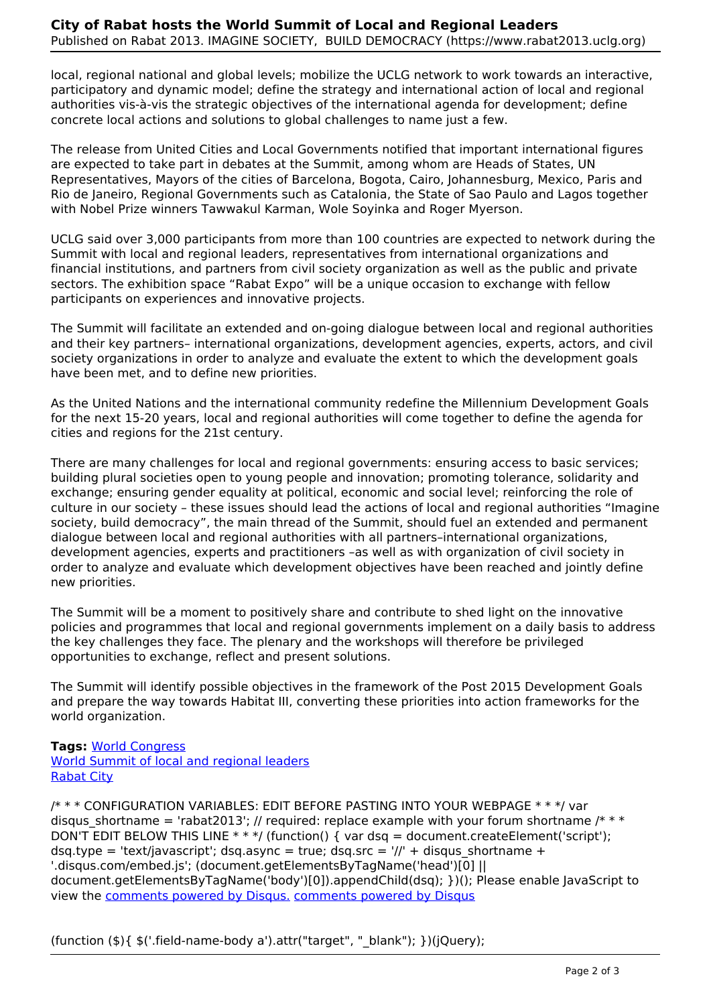local, regional national and global levels; mobilize the UCLG network to work towards an interactive, participatory and dynamic model; define the strategy and international action of local and regional authorities vis-à-vis the strategic objectives of the international agenda for development; define concrete local actions and solutions to global challenges to name just a few.

The release from United Cities and Local Governments notified that important international figures are expected to take part in debates at the Summit, among whom are Heads of States, UN Representatives, Mayors of the cities of Barcelona, Bogota, Cairo, Johannesburg, Mexico, Paris and Rio de Janeiro, Regional Governments such as Catalonia, the State of Sao Paulo and Lagos together with Nobel Prize winners Tawwakul Karman, Wole Soyinka and Roger Myerson.

UCLG said over 3,000 participants from more than 100 countries are expected to network during the Summit with local and regional leaders, representatives from international organizations and financial institutions, and partners from civil society organization as well as the public and private sectors. The exhibition space "Rabat Expo" will be a unique occasion to exchange with fellow participants on experiences and innovative projects.

The Summit will facilitate an extended and on-going dialogue between local and regional authorities and their key partners– international organizations, development agencies, experts, actors, and civil society organizations in order to analyze and evaluate the extent to which the development goals have been met, and to define new priorities.

As the United Nations and the international community redefine the Millennium Development Goals for the next 15-20 years, local and regional authorities will come together to define the agenda for cities and regions for the 21st century.

There are many challenges for local and regional governments: ensuring access to basic services; building plural societies open to young people and innovation; promoting tolerance, solidarity and exchange; ensuring gender equality at political, economic and social level; reinforcing the role of culture in our society – these issues should lead the actions of local and regional authorities "Imagine society, build democracy", the main thread of the Summit, should fuel an extended and permanent dialogue between local and regional authorities with all partners–international organizations, development agencies, experts and practitioners –as well as with organization of civil society in order to analyze and evaluate which development objectives have been reached and jointly define new priorities.

The Summit will be a moment to positively share and contribute to shed light on the innovative policies and programmes that local and regional governments implement on a daily basis to address the key challenges they face. The plenary and the workshops will therefore be privileged opportunities to exchange, reflect and present solutions.

The Summit will identify possible objectives in the framework of the Post 2015 Development Goals and prepare the way towards Habitat III, converting these priorities into action frameworks for the world organization.

**Tags:** World Congress World Summit of local and regional leaders Rabat City

/\* \* \* CONFIGURATION VARIABLES: EDIT BEFORE PASTING INTO YOUR WEBPAGE \* \* \*/ var disqus shortname = 'rabat2013'; // required: replace example with your forum shortname /\* \* \* DON'T EDIT BELOW THIS LINE  $***/$  (function() { var dsq = document.createElement('script'); dsq.type = 'text/javascript'; dsq.async = true; dsq.src =  $\frac{1}{l}$  + disqus shortname + '.disqus.com/embed.js'; (document.getElementsByTagName('head')[0] || document.getElementsByTagName('body')[0]).appendChild(dsq); })(); Please enable JavaScript to view the comments powered by Disqus. comments powered by Disqus

(function (\$){ \$('.field-name-body a').attr("target", "\_blank"); })(jQuery);